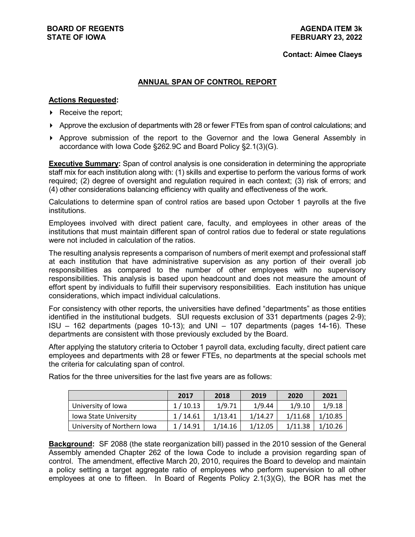#### **Contact: Aimee Claeys**

### **ANNUAL SPAN OF CONTROL REPORT**

#### **Actions Requested:**

- $\triangleright$  Receive the report;
- Approve the exclusion of departments with 28 or fewer FTEs from span of control calculations; and
- Approve submission of the report to the Governor and the Iowa General Assembly in accordance with Iowa Code §262.9C and Board Policy §2.1(3)(G).

**Executive Summary:** Span of control analysis is one consideration in determining the appropriate staff mix for each institution along with: (1) skills and expertise to perform the various forms of work required; (2) degree of oversight and regulation required in each context; (3) risk of errors; and (4) other considerations balancing efficiency with quality and effectiveness of the work.

Calculations to determine span of control ratios are based upon October 1 payrolls at the five institutions.

Employees involved with direct patient care, faculty, and employees in other areas of the institutions that must maintain different span of control ratios due to federal or state regulations were not included in calculation of the ratios.

The resulting analysis represents a comparison of numbers of merit exempt and professional staff at each institution that have administrative supervision as any portion of their overall job responsibilities as compared to the number of other employees with no supervisory responsibilities. This analysis is based upon headcount and does not measure the amount of effort spent by individuals to fulfill their supervisory responsibilities. Each institution has unique considerations, which impact individual calculations.

For consistency with other reports, the universities have defined "departments" as those entities identified in the institutional budgets. SUI requests exclusion of 331 departments (pages 2-9); ISU – 162 departments (pages 10-13); and UNI – 107 departments (pages 14-16). These departments are consistent with those previously excluded by the Board.

After applying the statutory criteria to October 1 payroll data, excluding faculty, direct patient care employees and departments with 28 or fewer FTEs, no departments at the special schools met the criteria for calculating span of control.

|                              | 2017    | 2018    | 2019    | 2020    | 2021    |
|------------------------------|---------|---------|---------|---------|---------|
| University of Iowa           | 1/10.13 | 1/9.71  | 1/9.44  | 1/9.10  | 1/9.18  |
| <b>Iowa State University</b> | 1/14.61 | 1/13.41 | 1/14.27 | 1/11.68 | 1/10.85 |
| University of Northern Iowa  | 1/14.91 | 1/14.16 | 1/12.05 | 1/11.38 | 1/10.26 |

Ratios for the three universities for the last five years are as follows:

**Background:** SF 2088 (the state reorganization bill) passed in the 2010 session of the General Assembly amended Chapter 262 of the Iowa Code to include a provision regarding span of control. The amendment, effective March 20, 2010, requires the Board to develop and maintain a policy setting a target aggregate ratio of employees who perform supervision to all other employees at one to fifteen. In Board of Regents Policy 2.1(3)(G), the BOR has met the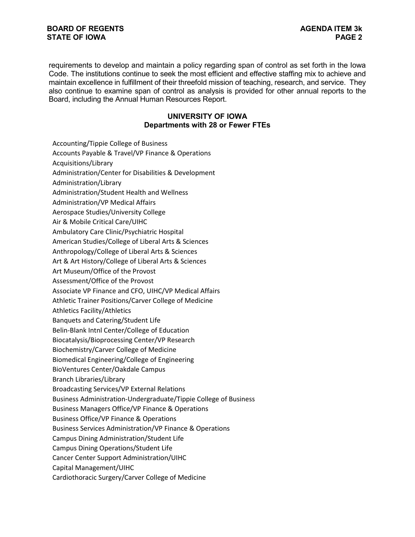requirements to develop and maintain a policy regarding span of control as set forth in the Iowa Code. The institutions continue to seek the most efficient and effective staffing mix to achieve and maintain excellence in fulfillment of their threefold mission of teaching, research, and service. They also continue to examine span of control as analysis is provided for other annual reports to the Board, including the Annual Human Resources Report.

### **UNIVERSITY OF IOWA Departments with 28 or Fewer FTEs**

Accounting/Tippie College of Business

Accounts Payable & Travel/VP Finance & Operations

Acquisitions/Library

Administration/Center for Disabilities & Development

Administration/Library

Administration/Student Health and Wellness

Administration/VP Medical Affairs

Aerospace Studies/University College

Air & Mobile Critical Care/UIHC

Ambulatory Care Clinic/Psychiatric Hospital

American Studies/College of Liberal Arts & Sciences

Anthropology/College of Liberal Arts & Sciences

Art & Art History/College of Liberal Arts & Sciences

Art Museum/Office of the Provost

Assessment/Office of the Provost

Associate VP Finance and CFO, UIHC/VP Medical Affairs

Athletic Trainer Positions/Carver College of Medicine

Athletics Facility/Athletics

Banquets and Catering/Student Life

Belin-Blank Intnl Center/College of Education

Biocatalysis/Bioprocessing Center/VP Research

Biochemistry/Carver College of Medicine

Biomedical Engineering/College of Engineering

BioVentures Center/Oakdale Campus

Branch Libraries/Library

Broadcasting Services/VP External Relations

Business Administration-Undergraduate/Tippie College of Business

Business Managers Office/VP Finance & Operations

Business Office/VP Finance & Operations

Business Services Administration/VP Finance & Operations

Campus Dining Administration/Student Life

Campus Dining Operations/Student Life

Cancer Center Support Administration/UIHC

Capital Management/UIHC

Cardiothoracic Surgery/Carver College of Medicine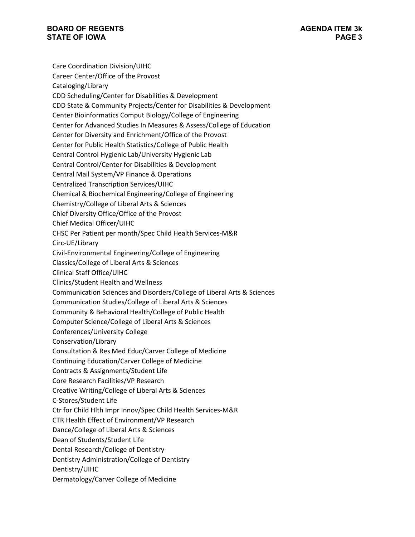Care Coordination Division/UIHC Career Center/Office of the Provost Cataloging/Library CDD Scheduling/Center for Disabilities & Development CDD State & Community Projects/Center for Disabilities & Development Center Bioinformatics Comput Biology/College of Engineering Center for Advanced Studies In Measures & Assess/College of Education Center for Diversity and Enrichment/Office of the Provost Center for Public Health Statistics/College of Public Health Central Control Hygienic Lab/University Hygienic Lab Central Control/Center for Disabilities & Development Central Mail System/VP Finance & Operations Centralized Transcription Services/UIHC Chemical & Biochemical Engineering/College of Engineering Chemistry/College of Liberal Arts & Sciences Chief Diversity Office/Office of the Provost Chief Medical Officer/UIHC CHSC Per Patient per month/Spec Child Health Services-M&R Circ-UE/Library Civil-Environmental Engineering/College of Engineering Classics/College of Liberal Arts & Sciences Clinical Staff Office/UIHC Clinics/Student Health and Wellness Communication Sciences and Disorders/College of Liberal Arts & Sciences Communication Studies/College of Liberal Arts & Sciences Community & Behavioral Health/College of Public Health Computer Science/College of Liberal Arts & Sciences Conferences/University College Conservation/Library Consultation & Res Med Educ/Carver College of Medicine Continuing Education/Carver College of Medicine Contracts & Assignments/Student Life Core Research Facilities/VP Research Creative Writing/College of Liberal Arts & Sciences C-Stores/Student Life Ctr for Child Hlth Impr Innov/Spec Child Health Services-M&R CTR Health Effect of Environment/VP Research Dance/College of Liberal Arts & Sciences Dean of Students/Student Life Dental Research/College of Dentistry Dentistry Administration/College of Dentistry Dentistry/UIHC Dermatology/Carver College of Medicine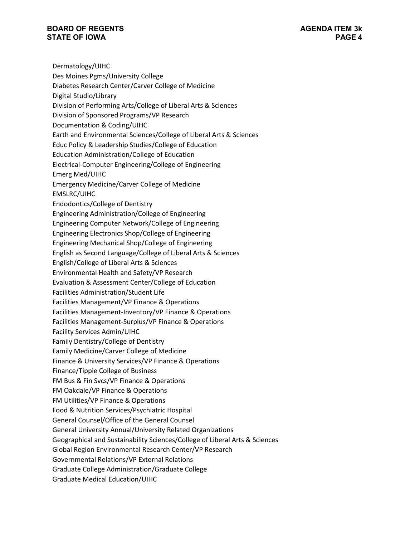Dermatology/UIHC Des Moines Pgms/University College Diabetes Research Center/Carver College of Medicine Digital Studio/Library Division of Performing Arts/College of Liberal Arts & Sciences Division of Sponsored Programs/VP Research Documentation & Coding/UIHC Earth and Environmental Sciences/College of Liberal Arts & Sciences Educ Policy & Leadership Studies/College of Education Education Administration/College of Education Electrical-Computer Engineering/College of Engineering Emerg Med/UIHC Emergency Medicine/Carver College of Medicine EMSLRC/UIHC Endodontics/College of Dentistry Engineering Administration/College of Engineering Engineering Computer Network/College of Engineering Engineering Electronics Shop/College of Engineering Engineering Mechanical Shop/College of Engineering English as Second Language/College of Liberal Arts & Sciences English/College of Liberal Arts & Sciences Environmental Health and Safety/VP Research Evaluation & Assessment Center/College of Education Facilities Administration/Student Life Facilities Management/VP Finance & Operations Facilities Management-Inventory/VP Finance & Operations Facilities Management-Surplus/VP Finance & Operations Facility Services Admin/UIHC Family Dentistry/College of Dentistry Family Medicine/Carver College of Medicine Finance & University Services/VP Finance & Operations Finance/Tippie College of Business FM Bus & Fin Svcs/VP Finance & Operations FM Oakdale/VP Finance & Operations FM Utilities/VP Finance & Operations Food & Nutrition Services/Psychiatric Hospital General Counsel/Office of the General Counsel General University Annual/University Related Organizations Geographical and Sustainability Sciences/College of Liberal Arts & Sciences Global Region Environmental Research Center/VP Research Governmental Relations/VP External Relations Graduate College Administration/Graduate College Graduate Medical Education/UIHC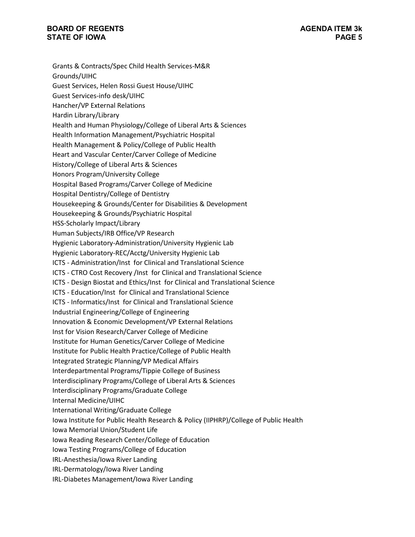Grants & Contracts/Spec Child Health Services-M&R Grounds/UIHC Guest Services, Helen Rossi Guest House/UIHC Guest Services-info desk/UIHC Hancher/VP External Relations Hardin Library/Library Health and Human Physiology/College of Liberal Arts & Sciences Health Information Management/Psychiatric Hospital Health Management & Policy/College of Public Health Heart and Vascular Center/Carver College of Medicine History/College of Liberal Arts & Sciences Honors Program/University College Hospital Based Programs/Carver College of Medicine Hospital Dentistry/College of Dentistry Housekeeping & Grounds/Center for Disabilities & Development Housekeeping & Grounds/Psychiatric Hospital HSS-Scholarly Impact/Library Human Subjects/IRB Office/VP Research Hygienic Laboratory-Administration/University Hygienic Lab Hygienic Laboratory-REC/Acctg/University Hygienic Lab ICTS - Administration/Inst for Clinical and Translational Science ICTS - CTRO Cost Recovery /Inst for Clinical and Translational Science ICTS - Design Biostat and Ethics/Inst for Clinical and Translational Science ICTS - Education/Inst for Clinical and Translational Science ICTS - Informatics/Inst for Clinical and Translational Science Industrial Engineering/College of Engineering Innovation & Economic Development/VP External Relations Inst for Vision Research/Carver College of Medicine Institute for Human Genetics/Carver College of Medicine Institute for Public Health Practice/College of Public Health Integrated Strategic Planning/VP Medical Affairs Interdepartmental Programs/Tippie College of Business Interdisciplinary Programs/College of Liberal Arts & Sciences Interdisciplinary Programs/Graduate College Internal Medicine/UIHC International Writing/Graduate College Iowa Institute for Public Health Research & Policy (IIPHRP)/College of Public Health Iowa Memorial Union/Student Life Iowa Reading Research Center/College of Education Iowa Testing Programs/College of Education IRL-Anesthesia/Iowa River Landing IRL-Dermatology/Iowa River Landing IRL-Diabetes Management/Iowa River Landing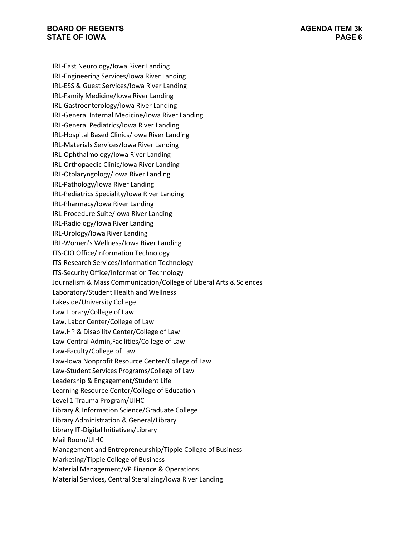IRL-East Neurology/Iowa River Landing IRL-Engineering Services/Iowa River Landing IRL-ESS & Guest Services/Iowa River Landing IRL-Family Medicine/Iowa River Landing IRL-Gastroenterology/Iowa River Landing IRL-General Internal Medicine/Iowa River Landing IRL-General Pediatrics/Iowa River Landing IRL-Hospital Based Clinics/Iowa River Landing IRL-Materials Services/Iowa River Landing IRL-Ophthalmology/Iowa River Landing IRL-Orthopaedic Clinic/Iowa River Landing IRL-Otolaryngology/Iowa River Landing IRL-Pathology/Iowa River Landing IRL-Pediatrics Speciality/Iowa River Landing IRL-Pharmacy/Iowa River Landing IRL-Procedure Suite/Iowa River Landing IRL-Radiology/Iowa River Landing IRL-Urology/Iowa River Landing IRL-Women's Wellness/Iowa River Landing ITS-CIO Office/Information Technology ITS-Research Services/Information Technology ITS-Security Office/Information Technology Journalism & Mass Communication/College of Liberal Arts & Sciences Laboratory/Student Health and Wellness Lakeside/University College Law Library/College of Law Law, Labor Center/College of Law Law,HP & Disability Center/College of Law Law-Central Admin,Facilities/College of Law Law-Faculty/College of Law Law-Iowa Nonprofit Resource Center/College of Law Law-Student Services Programs/College of Law Leadership & Engagement/Student Life Learning Resource Center/College of Education Level 1 Trauma Program/UIHC Library & Information Science/Graduate College Library Administration & General/Library Library IT-Digital Initiatives/Library Mail Room/UIHC Management and Entrepreneurship/Tippie College of Business Marketing/Tippie College of Business Material Management/VP Finance & Operations Material Services, Central Steralizing/Iowa River Landing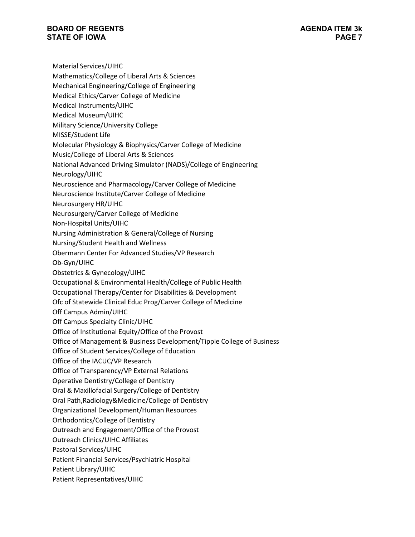Material Services/UIHC

- Mathematics/College of Liberal Arts & Sciences
- Mechanical Engineering/College of Engineering
- Medical Ethics/Carver College of Medicine
- Medical Instruments/UIHC
- Medical Museum/UIHC
- Military Science/University College
- MISSE/Student Life
- Molecular Physiology & Biophysics/Carver College of Medicine
- Music/College of Liberal Arts & Sciences
- National Advanced Driving Simulator (NADS)/College of Engineering
- Neurology/UIHC
- Neuroscience and Pharmacology/Carver College of Medicine
- Neuroscience Institute/Carver College of Medicine
- Neurosurgery HR/UIHC
- Neurosurgery/Carver College of Medicine
- Non-Hospital Units/UIHC
- Nursing Administration & General/College of Nursing
- Nursing/Student Health and Wellness
- Obermann Center For Advanced Studies/VP Research
- Ob-Gyn/UIHC
- Obstetrics & Gynecology/UIHC
- Occupational & Environmental Health/College of Public Health
- Occupational Therapy/Center for Disabilities & Development
- Ofc of Statewide Clinical Educ Prog/Carver College of Medicine
- Off Campus Admin/UIHC
- Off Campus Specialty Clinic/UIHC
- Office of Institutional Equity/Office of the Provost
- Office of Management & Business Development/Tippie College of Business
- Office of Student Services/College of Education
- Office of the IACUC/VP Research
- Office of Transparency/VP External Relations
- Operative Dentistry/College of Dentistry
- Oral & Maxillofacial Surgery/College of Dentistry
- Oral Path,Radiology&Medicine/College of Dentistry
- Organizational Development/Human Resources
- Orthodontics/College of Dentistry
- Outreach and Engagement/Office of the Provost
- Outreach Clinics/UIHC Affiliates
- Pastoral Services/UIHC
- Patient Financial Services/Psychiatric Hospital
- Patient Library/UIHC
- Patient Representatives/UIHC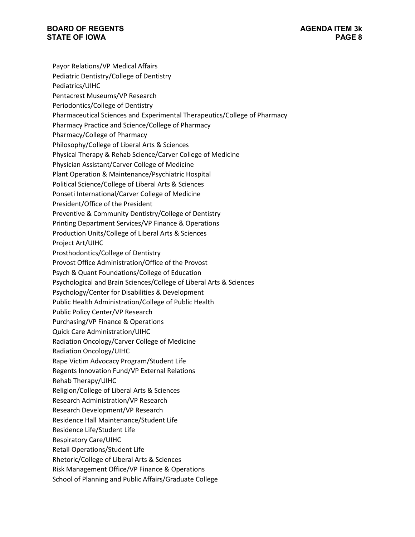Payor Relations/VP Medical Affairs Pediatric Dentistry/College of Dentistry Pediatrics/UIHC Pentacrest Museums/VP Research Periodontics/College of Dentistry Pharmaceutical Sciences and Experimental Therapeutics/College of Pharmacy Pharmacy Practice and Science/College of Pharmacy Pharmacy/College of Pharmacy Philosophy/College of Liberal Arts & Sciences Physical Therapy & Rehab Science/Carver College of Medicine Physician Assistant/Carver College of Medicine Plant Operation & Maintenance/Psychiatric Hospital Political Science/College of Liberal Arts & Sciences Ponseti International/Carver College of Medicine President/Office of the President Preventive & Community Dentistry/College of Dentistry Printing Department Services/VP Finance & Operations Production Units/College of Liberal Arts & Sciences Project Art/UIHC Prosthodontics/College of Dentistry Provost Office Administration/Office of the Provost Psych & Quant Foundations/College of Education Psychological and Brain Sciences/College of Liberal Arts & Sciences Psychology/Center for Disabilities & Development Public Health Administration/College of Public Health Public Policy Center/VP Research Purchasing/VP Finance & Operations Quick Care Administration/UIHC Radiation Oncology/Carver College of Medicine Radiation Oncology/UIHC Rape Victim Advocacy Program/Student Life Regents Innovation Fund/VP External Relations Rehab Therapy/UIHC Religion/College of Liberal Arts & Sciences Research Administration/VP Research Research Development/VP Research Residence Hall Maintenance/Student Life Residence Life/Student Life Respiratory Care/UIHC Retail Operations/Student Life Rhetoric/College of Liberal Arts & Sciences Risk Management Office/VP Finance & Operations School of Planning and Public Affairs/Graduate College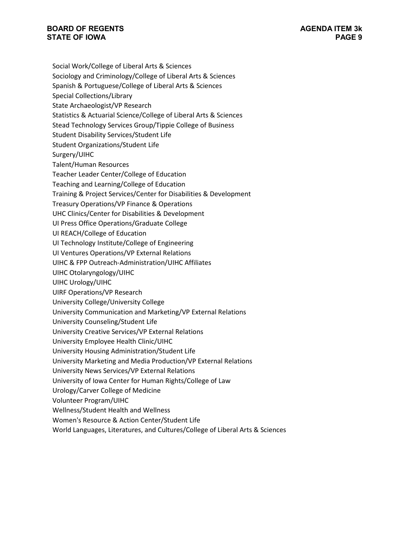- Social Work/College of Liberal Arts & Sciences
- Sociology and Criminology/College of Liberal Arts & Sciences
- Spanish & Portuguese/College of Liberal Arts & Sciences
- Special Collections/Library
- State Archaeologist/VP Research
- Statistics & Actuarial Science/College of Liberal Arts & Sciences
- Stead Technology Services Group/Tippie College of Business
- Student Disability Services/Student Life
- Student Organizations/Student Life
- Surgery/UIHC
- Talent/Human Resources
- Teacher Leader Center/College of Education
- Teaching and Learning/College of Education
- Training & Project Services/Center for Disabilities & Development
- Treasury Operations/VP Finance & Operations
- UHC Clinics/Center for Disabilities & Development
- UI Press Office Operations/Graduate College
- UI REACH/College of Education
- UI Technology Institute/College of Engineering
- UI Ventures Operations/VP External Relations
- UIHC & FPP Outreach-Administration/UIHC Affiliates
- UIHC Otolaryngology/UIHC
- UIHC Urology/UIHC
- UIRF Operations/VP Research
- University College/University College
- University Communication and Marketing/VP External Relations
- University Counseling/Student Life
- University Creative Services/VP External Relations
- University Employee Health Clinic/UIHC
- University Housing Administration/Student Life
- University Marketing and Media Production/VP External Relations
- University News Services/VP External Relations
- University of Iowa Center for Human Rights/College of Law
- Urology/Carver College of Medicine
- Volunteer Program/UIHC
- Wellness/Student Health and Wellness
- Women's Resource & Action Center/Student Life
- World Languages, Literatures, and Cultures/College of Liberal Arts & Sciences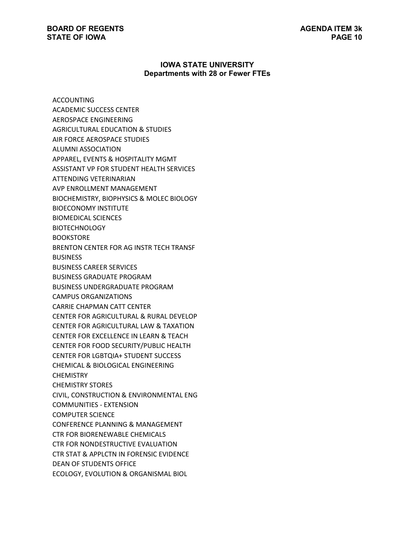#### **IOWA STATE UNIVERSITY Departments with 28 or Fewer FTEs**

ACCOUNTING ACADEMIC SUCCESS CENTER AEROSPACE ENGINEERING AGRICULTURAL EDUCATION & STUDIES AIR FORCE AEROSPACE STUDIES ALUMNI ASSOCIATION APPAREL, EVENTS & HOSPITALITY MGMT ASSISTANT VP FOR STUDENT HEALTH SERVICES ATTENDING VETERINARIAN AVP ENROLLMENT MANAGEMENT BIOCHEMISTRY, BIOPHYSICS & MOLEC BIOLOGY BIOECONOMY INSTITUTE BIOMEDICAL SCIENCES **BIOTECHNOLOGY** BOOKSTORE BRENTON CENTER FOR AG INSTR TECH TRANSF BUSINESS BUSINESS CAREER SERVICES BUSINESS GRADUATE PROGRAM BUSINESS UNDERGRADUATE PROGRAM CAMPUS ORGANIZATIONS CARRIE CHAPMAN CATT CENTER CENTER FOR AGRICULTURAL & RURAL DEVELOP CENTER FOR AGRICULTURAL LAW & TAXATION CENTER FOR EXCELLENCE IN LEARN & TEACH CENTER FOR FOOD SECURITY/PUBLIC HEALTH CENTER FOR LGBTQIA+ STUDENT SUCCESS CHEMICAL & BIOLOGICAL ENGINEERING **CHEMISTRY** CHEMISTRY STORES CIVIL, CONSTRUCTION & ENVIRONMENTAL ENG COMMUNITIES - EXTENSION COMPUTER SCIENCE CONFERENCE PLANNING & MANAGEMENT CTR FOR BIORENEWABLE CHEMICALS CTR FOR NONDESTRUCTIVE EVALUATION CTR STAT & APPLCTN IN FORENSIC EVIDENCE DEAN OF STUDENTS OFFICE ECOLOGY, EVOLUTION & ORGANISMAL BIOL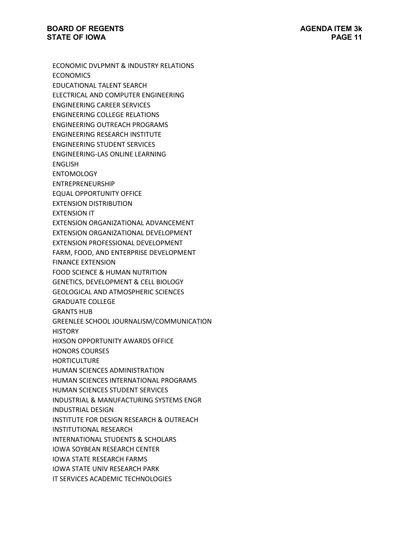ECONOMIC DVLPMNT & INDUSTRY RELATIONS **ECONOMICS** EDUCATIONAL TALENT SEARCH ELECTRICAL AND COMPUTER ENGINEERING ENGINEERING CAREER SERVICES ENGINEERING COLLEGE RELATIONS ENGINEERING OUTREACH PROGRAMS ENGINEERING RESEARCH INSTITUTE ENGINEERING STUDENT SERVICES ENGINEERING-LAS ONLINE LEARNING ENGLISH ENTOMOLOGY ENTREPRENEURSHIP EQUAL OPPORTUNITY OFFICE EXTENSION DISTRIBUTION EXTENSION IT EXTENSION ORGANIZATIONAL ADVANCEMENT EXTENSION ORGANIZATIONAL DEVELOPMENT EXTENSION PROFESSIONAL DEVELOPMENT FARM, FOOD, AND ENTERPRISE DEVELOPMENT FINANCE EXTENSION FOOD SCIENCE & HUMAN NUTRITION GENETICS, DEVELOPMENT & CELL BIOLOGY GEOLOGICAL AND ATMOSPHERIC SCIENCES GRADUATE COLLEGE GRANTS HUB GREENLEE SCHOOL JOURNALISM/COMMUNICATION **HISTORY** HIXSON OPPORTUNITY AWARDS OFFICE HONORS COURSES **HORTICULTURE** HUMAN SCIENCES ADMINISTRATION HUMAN SCIENCES INTERNATIONAL PROGRAMS HUMAN SCIENCES STUDENT SERVICES INDUSTRIAL & MANUFACTURING SYSTEMS ENGR INDUSTRIAL DESIGN INSTITUTE FOR DESIGN RESEARCH & OUTREACH INSTITUTIONAL RESEARCH INTERNATIONAL STUDENTS & SCHOLARS IOWA SOYBEAN RESEARCH CENTER IOWA STATE RESEARCH FARMS IOWA STATE UNIV RESEARCH PARK IT SERVICES ACADEMIC TECHNOLOGIES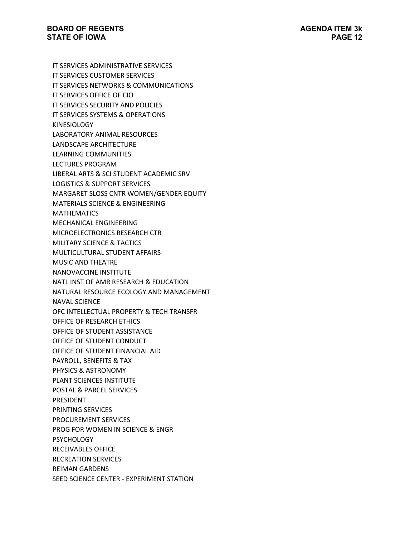IT SERVICES ADMINISTRATIVE SERVICES IT SERVICES CUSTOMER SERVICES IT SERVICES NETWORKS & COMMUNICATIONS IT SERVICES OFFICE OF CIO IT SERVICES SECURITY AND POLICIES IT SERVICES SYSTEMS & OPERATIONS KINESIOLOGY LABORATORY ANIMAL RESOURCES LANDSCAPE ARCHITECTURE LEARNING COMMUNITIES LECTURES PROGRAM LIBERAL ARTS & SCI STUDENT ACADEMIC SRV LOGISTICS & SUPPORT SERVICES MARGARET SLOSS CNTR WOMEN/GENDER EQUITY MATERIALS SCIENCE & ENGINEERING MATHEMATICS MECHANICAL ENGINEERING MICROELECTRONICS RESEARCH CTR MILITARY SCIENCE & TACTICS MULTICULTURAL STUDENT AFFAIRS MUSIC AND THEATRE NANOVACCINE INSTITUTE NATL INST OF AMR RESEARCH & EDUCATION NATURAL RESOURCE ECOLOGY AND MANAGEMENT NAVAL SCIENCE OFC INTELLECTUAL PROPERTY & TECH TRANSFR OFFICE OF RESEARCH ETHICS OFFICE OF STUDENT ASSISTANCE OFFICE OF STUDENT CONDUCT OFFICE OF STUDENT FINANCIAL AID PAYROLL, BENEFITS & TAX PHYSICS & ASTRONOMY PLANT SCIENCES INSTITUTE POSTAL & PARCEL SERVICES PRESIDENT PRINTING SERVICES PROCUREMENT SERVICES PROG FOR WOMEN IN SCIENCE & ENGR **PSYCHOLOGY** RECEIVABLES OFFICE RECREATION SERVICES REIMAN GARDENS SEED SCIENCE CENTER - EXPERIMENT STATION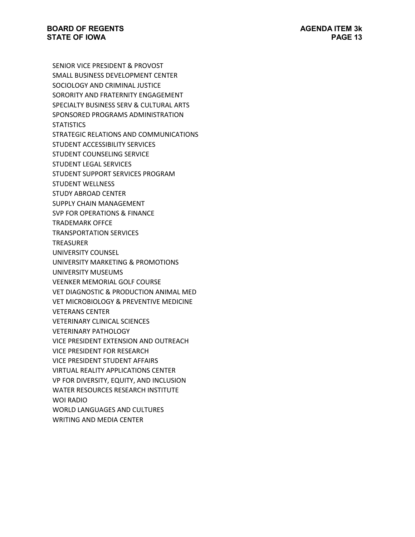SENIOR VICE PRESIDENT & PROVOST SMALL BUSINESS DEVELOPMENT CENTER SOCIOLOGY AND CRIMINAL JUSTICE SORORITY AND FRATERNITY ENGAGEMENT SPECIALTY BUSINESS SERV & CULTURAL ARTS SPONSORED PROGRAMS ADMINISTRATION **STATISTICS** STRATEGIC RELATIONS AND COMMUNICATIONS STUDENT ACCESSIBILITY SERVICES STUDENT COUNSELING SERVICE STUDENT LEGAL SERVICES STUDENT SUPPORT SERVICES PROGRAM STUDENT WELLNESS STUDY ABROAD CENTER SUPPLY CHAIN MANAGEMENT SVP FOR OPERATIONS & FINANCE TRADEMARK OFFCE TRANSPORTATION SERVICES TREASURER UNIVERSITY COUNSEL UNIVERSITY MARKETING & PROMOTIONS UNIVERSITY MUSEUMS VEENKER MEMORIAL GOLF COURSE VET DIAGNOSTIC & PRODUCTION ANIMAL MED VET MICROBIOLOGY & PREVENTIVE MEDICINE VETERANS CENTER VETERINARY CLINICAL SCIENCES VETERINARY PATHOLOGY VICE PRESIDENT EXTENSION AND OUTREACH VICE PRESIDENT FOR RESEARCH VICE PRESIDENT STUDENT AFFAIRS VIRTUAL REALITY APPLICATIONS CENTER VP FOR DIVERSITY, EQUITY, AND INCLUSION WATER RESOURCES RESEARCH INSTITUTE WOI RADIO WORLD LANGUAGES AND CULTURES WRITING AND MEDIA CENTER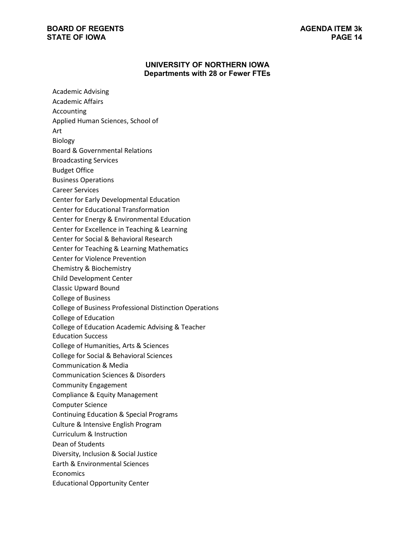# **UNIVERSITY OF NORTHERN IOWA Departments with 28 or Fewer FTEs**

| <b>Academic Advising</b>                                       |
|----------------------------------------------------------------|
| Academic Affairs                                               |
| <b>Accounting</b>                                              |
| Applied Human Sciences, School of                              |
| Art                                                            |
| Biology                                                        |
| <b>Board &amp; Governmental Relations</b>                      |
| <b>Broadcasting Services</b>                                   |
| <b>Budget Office</b>                                           |
| <b>Business Operations</b>                                     |
| <b>Career Services</b>                                         |
| Center for Early Developmental Education                       |
| <b>Center for Educational Transformation</b>                   |
| Center for Energy & Environmental Education                    |
| Center for Excellence in Teaching & Learning                   |
| Center for Social & Behavioral Research                        |
| <b>Center for Teaching &amp; Learning Mathematics</b>          |
| <b>Center for Violence Prevention</b>                          |
| Chemistry & Biochemistry                                       |
| <b>Child Development Center</b>                                |
| <b>Classic Upward Bound</b>                                    |
| <b>College of Business</b>                                     |
| <b>College of Business Professional Distinction Operations</b> |
| College of Education                                           |
| College of Education Academic Advising & Teacher               |
| <b>Education Success</b>                                       |
| College of Humanities, Arts & Sciences                         |
| College for Social & Behavioral Sciences                       |
| <b>Communication &amp; Media</b>                               |
| <b>Communication Sciences &amp; Disorders</b>                  |
| <b>Community Engagement</b>                                    |
| Compliance & Equity Management                                 |
| <b>Computer Science</b>                                        |
| <b>Continuing Education &amp; Special Programs</b>             |
| Culture & Intensive English Program                            |
| Curriculum & Instruction                                       |
| Dean of Students                                               |
| Diversity, Inclusion & Social Justice                          |
| <b>Earth &amp; Environmental Sciences</b>                      |
| Economics                                                      |
| <b>Educational Opportunity Center</b>                          |
|                                                                |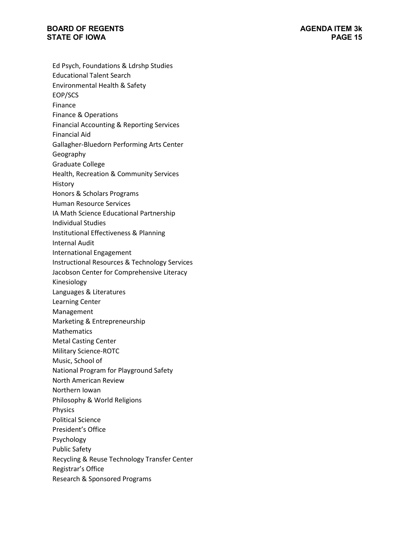Ed Psych, Foundations & Ldrshp Studies Educational Talent Search Environmental Health & Safety EOP/SCS Finance Finance & Operations Financial Accounting & Reporting Services Financial Aid Gallagher-Bluedorn Performing Arts Center Geography Graduate College Health, Recreation & Community Services History Honors & Scholars Programs Human Resource Services IA Math Science Educational Partnership Individual Studies Institutional Effectiveness & Planning Internal Audit International Engagement Instructional Resources & Technology Services Jacobson Center for Comprehensive Literacy Kinesiology Languages & Literatures Learning Center Management Marketing & Entrepreneurship **Mathematics** Metal Casting Center Military Science-ROTC Music, School of National Program for Playground Safety North American Review Northern Iowan Philosophy & World Religions Physics Political Science President's Office Psychology Public Safety Recycling & Reuse Technology Transfer Center Registrar's Office Research & Sponsored Programs